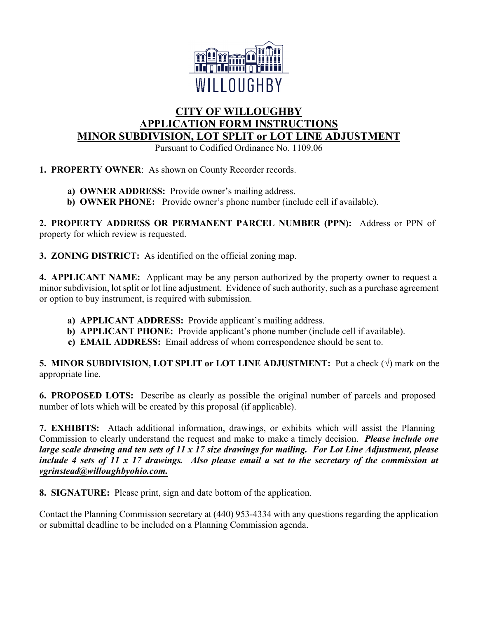

# **CITY OF WILLOUGHBY APPLICATION FORM INSTRUCTIONS MINOR SUBDIVISION, LOT SPLIT or LOT LINE ADJUSTMENT**

Pursuant to Codified Ordinance No. 1109.06

**1. PROPERTY OWNER**: As shown on County Recorder records.

- **a) OWNER ADDRESS:** Provide owner's mailing address.
- **b) OWNER PHONE:** Provide owner's phone number (include cell if available).

**2. PROPERTY ADDRESS OR PERMANENT PARCEL NUMBER (PPN):** Address or PPN of property for which review is requested.

**3. ZONING DISTRICT:** As identified on the official zoning map.

**4. APPLICANT NAME:** Applicant may be any person authorized by the property owner to request a minor subdivision, lot split or lot line adjustment. Evidence of such authority, such as a purchase agreement or option to buy instrument, is required with submission.

- **a) APPLICANT ADDRESS:** Provide applicant's mailing address.
- **b) APPLICANT PHONE:** Provide applicant's phone number (include cell if available).
- **c) EMAIL ADDRESS:** Email address of whom correspondence should be sent to.

**5. MINOR SUBDIVISION, LOT SPLIT or LOT LINE ADJUSTMENT:** Put a check (√) mark on the appropriate line.

**6. PROPOSED LOTS:** Describe as clearly as possible the original number of parcels and proposed number of lots which will be created by this proposal (if applicable).

**7. EXHIBITS:** Attach additional information, drawings, or exhibits which will assist the Planning Commission to clearly understand the request and make to make a timely decision. *Please include one large scale drawing and ten sets of 11 x 17 size drawings for mailing. For Lot Line Adjustment, please include 4 sets of 11 x 17 drawings. Also please email a set to the secretary of the commission at vgrinstead@willoughbyohio.com.*

**8. SIGNATURE:** Please print, sign and date bottom of the application.

Contact the Planning Commission secretary at (440) 953-4334 with any questions regarding the application or submittal deadline to be included on a Planning Commission agenda.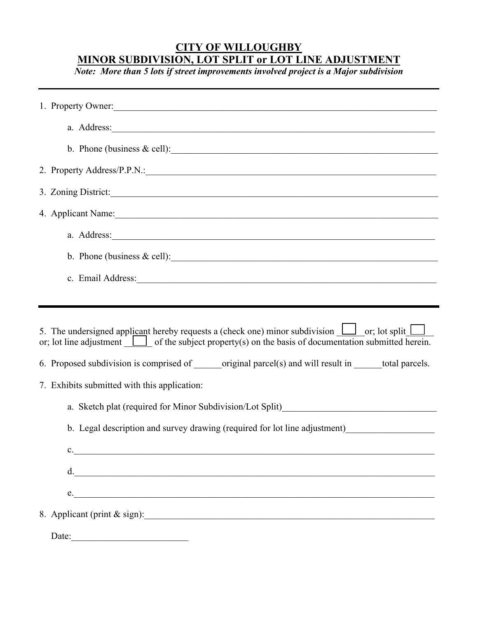### **CITY OF WILLOUGHBY MINOR SUBDIVISION, LOT SPLIT or LOT LINE ADJUSTMENT**

*Note: More than 5 lots if street improvements involved project is a Major subdivision* 

| 1. Property Owner:                                                                                                                                                                                                             |
|--------------------------------------------------------------------------------------------------------------------------------------------------------------------------------------------------------------------------------|
| a. Address: 1000 million and the contract of the contract of the contract of the contract of the contract of the contract of the contract of the contract of the contract of the contract of the contract of the contract of t |
| b. Phone (business $\&$ cell):                                                                                                                                                                                                 |
| 2. Property Address/P.P.N.:                                                                                                                                                                                                    |
| 3. Zoning District:                                                                                                                                                                                                            |
| 4. Applicant Name:                                                                                                                                                                                                             |
| a. Address: Universe and Address:                                                                                                                                                                                              |
| b. Phone (business $\&$ cell):                                                                                                                                                                                                 |
| c. Email Address: Universe of the Second Second Second Second Second Second Second Second Second Second Second Second Second Second Second Second Second Second Second Second Second Second Second Second Second Second Second |
|                                                                                                                                                                                                                                |
| 5. The undersigned applicant hereby requests a (check one) minor subdivision $\Box$ or; lot split $\Box$<br>or; lot line adjustment $\Box$ of the subject property(s) on the basis of documentation submitted herein.          |
| 6. Proposed subdivision is comprised of _______original parcel(s) and will result in _______total parcels.                                                                                                                     |
| 7. Exhibits submitted with this application:                                                                                                                                                                                   |
|                                                                                                                                                                                                                                |
| b. Legal description and survey drawing (required for lot line adjustment)                                                                                                                                                     |
| c.                                                                                                                                                                                                                             |
| d. $\qquad \qquad$                                                                                                                                                                                                             |
| e.                                                                                                                                                                                                                             |
| 8. Applicant (print & sign):                                                                                                                                                                                                   |
| Date:                                                                                                                                                                                                                          |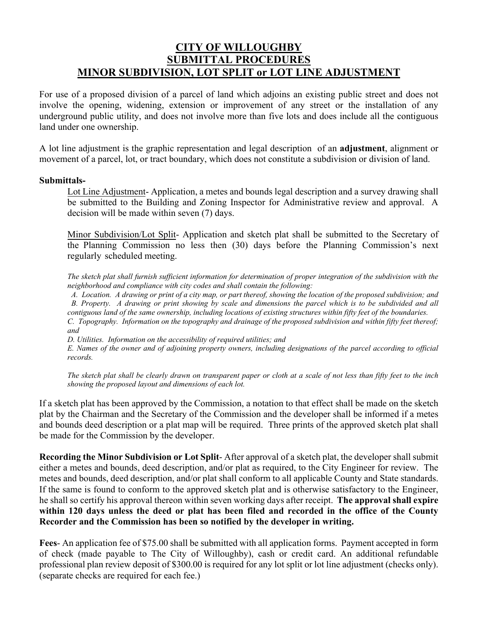## **CITY OF WILLOUGHBY SUBMITTAL PROCEDURES MINOR SUBDIVISION, LOT SPLIT or LOT LINE ADJUSTMENT**

For use of a proposed division of a parcel of land which adjoins an existing public street and does not involve the opening, widening, extension or improvement of any street or the installation of any underground public utility, and does not involve more than five lots and does include all the contiguous land under one ownership.

A lot line adjustment is the graphic representation and legal description of an **adjustment**, alignment or movement of a parcel, lot, or tract boundary, which does not constitute a subdivision or division of land.

#### **Submittals-**

Lot Line Adjustment- Application, a metes and bounds legal description and a survey drawing shall be submitted to the Building and Zoning Inspector for Administrative review and approval. A decision will be made within seven (7) days.

Minor Subdivision/Lot Split- Application and sketch plat shall be submitted to the Secretary of the Planning Commission no less then (30) days before the Planning Commission's next regularly scheduled meeting.

*The sketch plat shall furnish sufficient information for determination of proper integration of the subdivision with the neighborhood and compliance with city codes and shall contain the following:*

*A. Location. A drawing or print of a city map, or part thereof, showing the location of the proposed subdivision; and B. Property. A drawing or print showing by scale and dimensions the parcel which is to be subdivided and all contiguous land of the same ownership, including locations of existing structures within fifty feet of the boundaries. C. Topography. Information on the topography and drainage of the proposed subdivision and within fifty feet thereof; and*

*D. Utilities. Information on the accessibility of required utilities; and*

*E. Names of the owner and of adjoining property owners, including designations of the parcel according to official records.*

*The sketch plat shall be clearly drawn on transparent paper or cloth at a scale of not less than fifty feet to the inch showing the proposed layout and dimensions of each lot.* 

If a sketch plat has been approved by the Commission, a notation to that effect shall be made on the sketch plat by the Chairman and the Secretary of the Commission and the developer shall be informed if a metes and bounds deed description or a plat map will be required. Three prints of the approved sketch plat shall be made for the Commission by the developer.

**Recording the Minor Subdivision or Lot Split**- After approval of a sketch plat, the developer shall submit either a metes and bounds, deed description, and/or plat as required, to the City Engineer for review. The metes and bounds, deed description, and/or plat shall conform to all applicable County and State standards. If the same is found to conform to the approved sketch plat and is otherwise satisfactory to the Engineer, he shall so certify his approval thereon within seven working days after receipt. **The approval shall expire within 120 days unless the deed or plat has been filed and recorded in the office of the County Recorder and the Commission has been so notified by the developer in writing.** 

**Fees**- An application fee of \$75.00 shall be submitted with all application forms. Payment accepted in form of check (made payable to The City of Willoughby), cash or credit card. An additional refundable professional plan review deposit of \$300.00 is required for any lot split or lot line adjustment (checks only). (separate checks are required for each fee.)